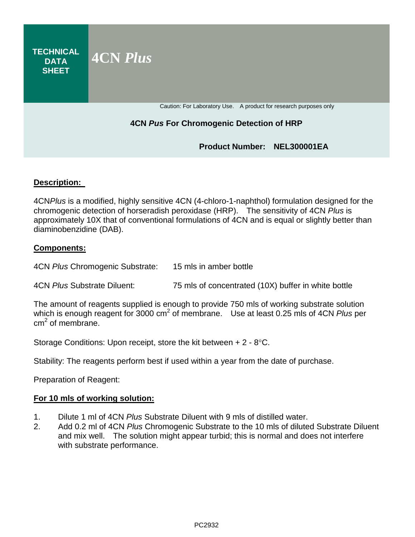**TECHNICAL DATA SHEET 4CN** *Plus* Caution: For Laboratory Use. A product for research purposes only

# **4CN** *Pus* **For Chromogenic Detection of HRP**

# **Product Number: NEL300001EA**

### **Description:**

4CN*Plus* is a modified, highly sensitive 4CN (4-chloro-1-naphthol) formulation designed for the chromogenic detection of horseradish peroxidase (HRP). The sensitivity of 4CN *Plus* is approximately 10X that of conventional formulations of 4CN and is equal or slightly better than diaminobenzidine (DAB).

### **Components:**

4CN *Plus* Chromogenic Substrate: 15 mls in amber bottle

4CN *Plus* Substrate Diluent: 75 mls of concentrated (10X) buffer in white bottle

The amount of reagents supplied is enough to provide 750 mls of working substrate solution which is enough reagent for 3000 cm<sup>2</sup> of membrane. Use at least 0.25 mls of 4CN *Plus* per  $cm<sup>2</sup>$  of membrane.

Storage Conditions: Upon receipt, store the kit between + 2 - 8°C.

Stability: The reagents perform best if used within a year from the date of purchase.

Preparation of Reagent:

#### **For 10 mls of working solution:**

- 1. Dilute 1 ml of 4CN *Plus* Substrate Diluent with 9 mls of distilled water.
- 2. Add 0.2 ml of 4CN *Plus* Chromogenic Substrate to the 10 mls of diluted Substrate Diluent and mix well. The solution might appear turbid; this is normal and does not interfere with substrate performance.